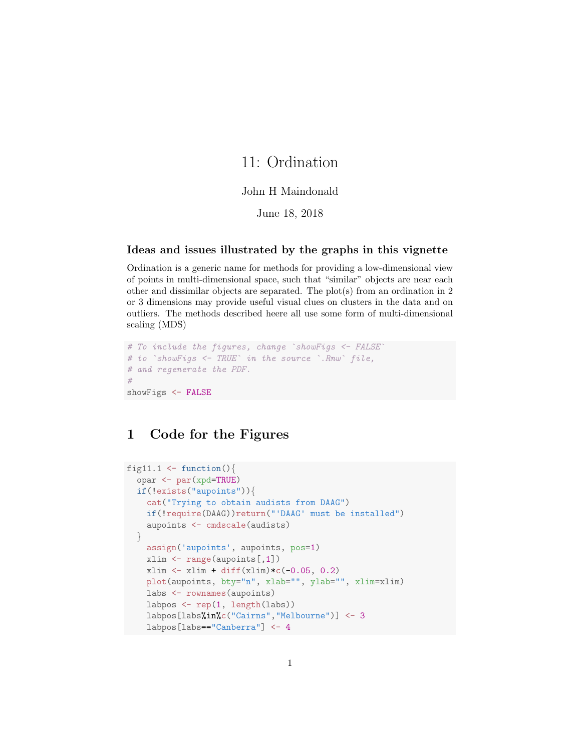# 11: Ordination

#### John H Maindonald

June 18, 2018

### Ideas and issues illustrated by the graphs in this vignette

Ordination is a generic name for methods for providing a low-dimensional view of points in multi-dimensional space, such that "similar" objects are near each other and dissimilar objects are separated. The plot(s) from an ordination in 2 or 3 dimensions may provide useful visual clues on clusters in the data and on outliers. The methods described heere all use some form of multi-dimensional scaling (MDS)

```
# To include the figures, change `showFigs <- FALSE
# to `showFigs <- TRUE` in the source `.Rnw` file,
# and regenerate the PDF.
#
showFigs <- FALSE
```
### 1 Code for the Figures

```
fig11.1 \leftarrow function(){
  opar <- par(xpd=TRUE)
  if(!exists("aupoints")){
    cat("Trying to obtain audists from DAAG")
    if(!require(DAAG))return("'DAAG' must be installed")
    aupoints <- cmdscale(audists)
  }
    assign('aupoints', aupoints, pos=1)
    xlim <- range(aupoints[,1])
    xlim \leftarrow xlim + diff(xlim)*c(-0.05, 0.2)plot(aupoints, bty="n", xlab="", ylab="", xlim=xlim)
    labs <- rownames(aupoints)
    labpos <- rep(1, length(labs))
    labpos[labs%in%c("Cairns","Melbourne")] <- 3
    labpos[labs=="Canberra"] <- 4
```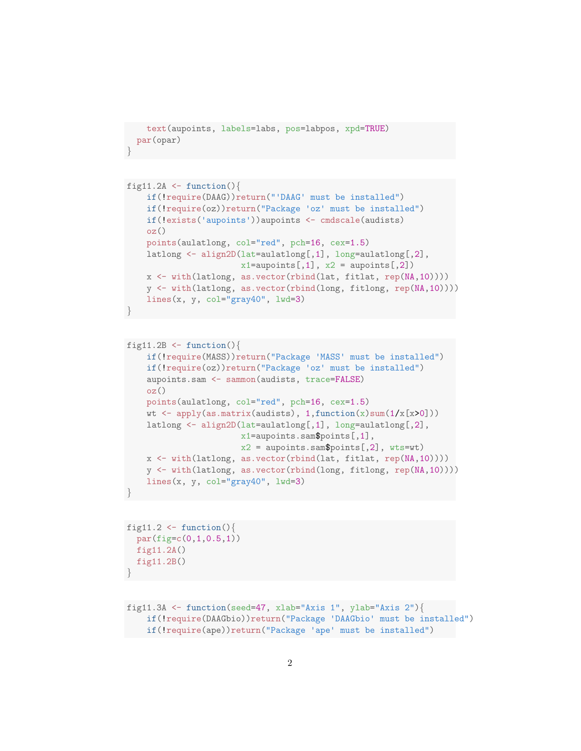```
text(aupoints, labels=labs, pos=labpos, xpd=TRUE)
 par(opar)
}
```

```
fig11.2A \leftarrow function(){
   if(!require(DAAG))return("'DAAG' must be installed")
    if(!require(oz))return("Package 'oz' must be installed")
    if(!exists('aupoints'))aupoints <- cmdscale(audists)
   oz()
   points(aulatlong, col="red", pch=16, cex=1.5)
   latlong <- align2D(lat=aulatlong[,1], long=aulatlong[,2],
                       x1==aupoints[,1], x2 =aupoints[,2])
   x <- with(latlong, as.vector(rbind(lat, fitlat, rep(NA,10))))
   y <- with(latlong, as.vector(rbind(long, fitlong, rep(NA,10))))
   lines(x, y, col="gray40", lwd=3)}
```

```
fig11.2B \leftarrow function(){
    if(!require(MASS))return("Package 'MASS' must be installed")
    if(!require(oz))return("Package 'oz' must be installed")
    aupoints.sam <- sammon(audists, trace=FALSE)
    oz()
   points(aulatlong, col="red", pch=16, cex=1.5)
   wt \leq apply(as.matrix(audists), 1, function(x)sum(1/x[x>0]))
   latlong <- align2D(lat=aulatlong[,1], long=aulatlong[,2],
                       x1=aupoints.sam$points[,1],
                       x2 = aupoints.sam$points[,2], wts=wt)
   x <- with(latlong, as.vector(rbind(lat, fitlat, rep(NA,10))))
   y <- with(latlong, as.vector(rbind(long, fitlong, rep(NA,10))))
   lines(x, y, col="gray40", lwd=3)}
```

```
fig11.2 \leftarrow function(){
  par(fig=c(0,1,0.5,1))
  fig11.2A()fig11.2B()
}
```

```
fig11.3A <- function(seed=47, xlab="Axis 1", ylab="Axis 2"){
    if(!require(DAAGbio))return("Package 'DAAGbio' must be installed")
   if(!require(ape))return("Package 'ape' must be installed")
```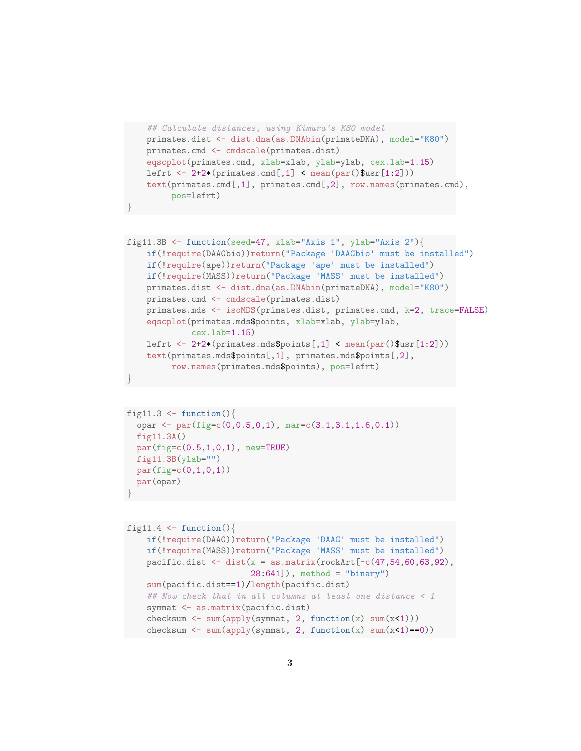```
## Calculate distances, using Kimura's K80 model
primates.dist <- dist.dna(as.DNAbin(primateDNA), model="K80")
primates.cmd <- cmdscale(primates.dist)
eqscplot(primates.cmd, xlab=xlab, ylab=ylab, cex.lab=1.15)
lefrt \leftarrow 2+2*(primates.cmd[,1] \leftarrow mean(par()$usr[1:2]))
text(primates.cmd[,1], primates.cmd[,2], row.names(primates.cmd),
     pos=lefrt)
```
}

```
fig11.3B \leftarrow function(seed=47, xlab="Axis 1", ylab="Axis 2"){
    if(!require(DAAGbio))return("Package 'DAAGbio' must be installed")
    if(!require(ape))return("Package 'ape' must be installed")
    if(!require(MASS))return("Package 'MASS' must be installed")
    primates.dist <- dist.dna(as.DNAbin(primateDNA), model="K80")
    primates.cmd <- cmdscale(primates.dist)
    primates.mds <- isoMDS(primates.dist, primates.cmd, k=2, trace=FALSE)
    eqscplot(primates.mds$points, xlab=xlab, ylab=ylab,
             cex.lab=1.15)
    lefrt \leftarrow 2+2*(primates.mds$points[,1] \leftarrow mean(par()$usr[1:2]))
    text(primates.mds$points[,1], primates.mds$points[,2],
         row.names(primates.mds$points), pos=lefrt)
}
```

```
fig11.3 \leftarrow function(){
  opar \leq par(fig=c(0,0.5,0,1), mar=c(3.1,3.1,1.6,0.1))
  fig11.3A()
  par(fig=c(0.5,1,0,1), new=TRUE)
  fig11.3B(ylab="")par(figec(0,1,0,1))par(opar)
}
```

```
fig11.4 \leftarrow function(){
    if(!require(DAAG))return("Package 'DAAG' must be installed")
    if(!require(MASS))return("Package 'MASS' must be installed")
    pacific.dist \leq dist(x = as.matrix(rockArt[-c(47, 54, 60, 63, 92),
                          28:641]), method = "binary")
    sum(pacific.dist==1)/length(pacific.dist)
    ## Now check that in all columns at least one distance < 1
    symmat <- as.matrix(pacific.dist)
    checksum \leq sum(apply(symmat, 2, function(x) sum(x\lt1)))
    checksum \leq sum(apply(symmat, 2, function(x) sum(x\leq1)==0))
```